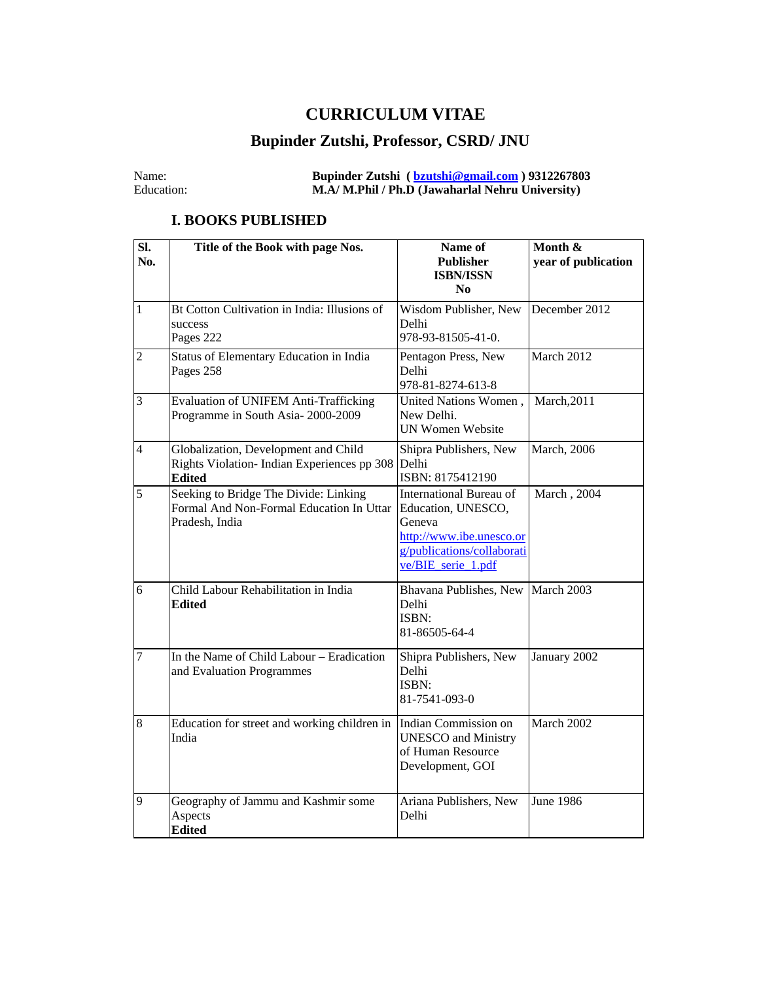### **CURRICULUM VITAE**

# **Bupinder Zutshi, Professor, CSRD/ JNU**

#### Name: **Bupinder Zutshi ( [bzutshi@gmail.com](mailto:bzutshi@gmail.com) ) 9312267803**  Education: **M.A/ M.Phil / Ph.D (Jawaharlal Nehru University)**

#### **I. BOOKS PUBLISHED**

| SI.<br>No.       | Title of the Book with page Nos.                                                                    | Name of<br><b>Publisher</b><br><b>ISBN/ISSN</b><br>N <sub>0</sub>                                                                       | Month &<br>year of publication |
|------------------|-----------------------------------------------------------------------------------------------------|-----------------------------------------------------------------------------------------------------------------------------------------|--------------------------------|
| $\mathbf{1}$     | Bt Cotton Cultivation in India: Illusions of<br>success<br>Pages 222                                | Wisdom Publisher, New<br>December 2012<br>Delhi<br>978-93-81505-41-0.                                                                   |                                |
| $\overline{2}$   | Status of Elementary Education in India<br>Pages 258                                                | Pentagon Press, New<br>Delhi<br>978-81-8274-613-8                                                                                       | March 2012                     |
| 3                | <b>Evaluation of UNIFEM Anti-Trafficking</b><br>Programme in South Asia-2000-2009                   | United Nations Women,<br>New Delhi.<br><b>UN Women Website</b>                                                                          | March, 2011                    |
| $\overline{4}$   | Globalization, Development and Child<br>Rights Violation-Indian Experiences pp 308<br><b>Edited</b> | Shipra Publishers, New<br>Delhi<br>ISBN: 8175412190                                                                                     | March, 2006                    |
| 5                | Seeking to Bridge The Divide: Linking<br>Formal And Non-Formal Education In Uttar<br>Pradesh, India | International Bureau of<br>Education, UNESCO,<br>Geneva<br>http://www.ibe.unesco.or<br>g/publications/collaborati<br>ve/BIE_serie_1.pdf | March, 2004                    |
| 6                | Child Labour Rehabilitation in India<br><b>Edited</b>                                               | Bhavana Publishes, New March 2003<br>Delhi<br>ISBN:<br>81-86505-64-4                                                                    |                                |
| $\boldsymbol{7}$ | In the Name of Child Labour - Eradication<br>and Evaluation Programmes                              | Shipra Publishers, New<br>Delhi<br>ISBN:<br>81-7541-093-0                                                                               | January 2002                   |
| 8                | Education for street and working children in<br>India                                               | Indian Commission on<br><b>UNESCO</b> and Ministry<br>of Human Resource<br>Development, GOI                                             | March 2002                     |
| 9                | Geography of Jammu and Kashmir some<br>Aspects<br><b>Edited</b>                                     | Ariana Publishers, New<br>Delhi                                                                                                         | <b>June 1986</b>               |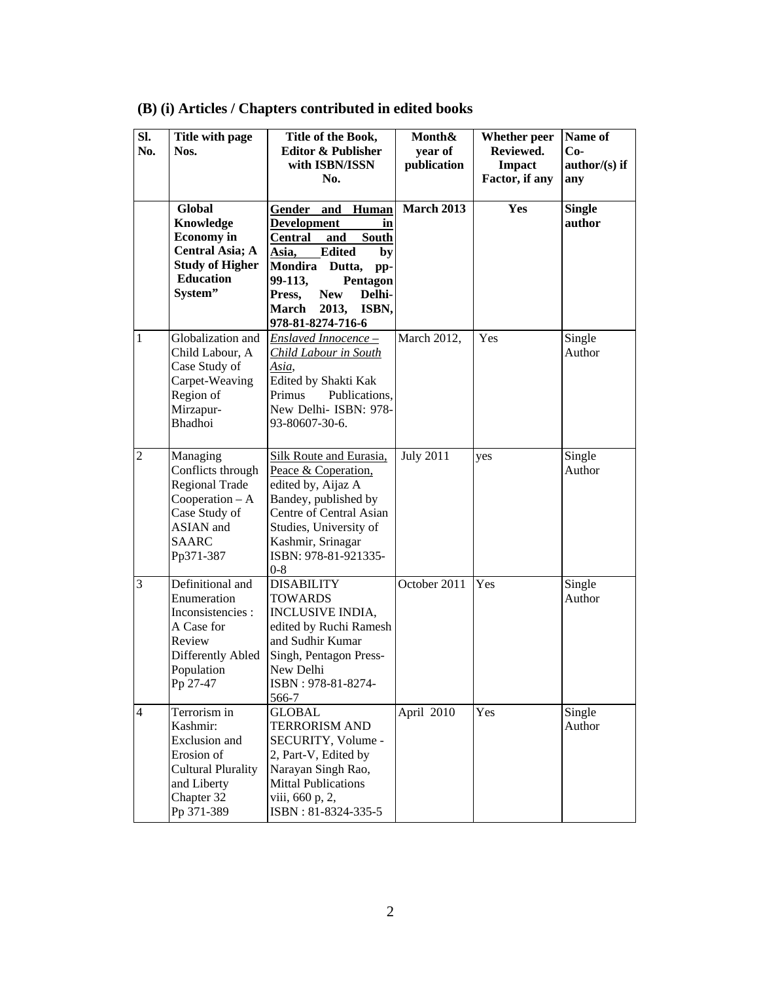| SI.<br>No.     | Title with page<br>Nos.                                                                                                         | Title of the Book,<br><b>Editor &amp; Publisher</b><br>with ISBN/ISSN<br>No.                                                                                                                                                                               | Month&<br>year of<br>publication | <b>Whether</b> peer<br>Reviewed.<br><b>Impact</b><br>Factor, if any | Name of<br>$Co-$<br>$\text{author/(s)}$ if<br>any |
|----------------|---------------------------------------------------------------------------------------------------------------------------------|------------------------------------------------------------------------------------------------------------------------------------------------------------------------------------------------------------------------------------------------------------|----------------------------------|---------------------------------------------------------------------|---------------------------------------------------|
|                | Global<br>Knowledge<br><b>Economy</b> in<br><b>Central Asia; A</b><br><b>Study of Higher</b><br><b>Education</b><br>System"     | Gender and<br>Human<br><b>Development</b><br>in<br><b>South</b><br><b>Central</b><br>and<br><b>Edited</b><br>Asia,<br>by<br>Mondira Dutta,<br>pp-<br>99-113,<br>Pentagon<br><b>New</b><br>Delhi-<br>Press,<br>2013,<br>March<br>ISBN,<br>978-81-8274-716-6 | <b>March 2013</b>                | Yes                                                                 | <b>Single</b><br>author                           |
| 1              | Globalization and<br>Child Labour, A<br>Case Study of<br>Carpet-Weaving<br>Region of<br>Mirzapur-<br><b>Bhadhoi</b>             | Enslaved Innocence -<br>Child Labour in South<br>Asia,<br>Edited by Shakti Kak<br>Publications,<br>Primus<br>New Delhi- ISBN: 978-<br>93-80607-30-6.                                                                                                       | March 2012,                      | Yes                                                                 | Single<br>Author                                  |
| $\overline{2}$ | Managing<br>Conflicts through<br>Regional Trade<br>Cooperation $-A$<br>Case Study of<br>ASIAN and<br><b>SAARC</b><br>Pp371-387  | <b>Silk Route and Eurasia,</b><br>Peace & Coperation,<br>edited by, Aijaz A<br>Bandey, published by<br>Centre of Central Asian<br>Studies, University of<br>Kashmir, Srinagar<br>ISBN: 978-81-921335-<br>$0 - 8$                                           | <b>July 2011</b>                 | yes                                                                 | Single<br>Author                                  |
| 3              | Definitional and<br>Enumeration<br>Inconsistencies :<br>A Case for<br>Review<br>Differently Abled<br>Population<br>Pp 27-47     | <b>DISABILITY</b><br>TOWARDS<br><b>INCLUSIVE INDIA,</b><br>edited by Ruchi Ramesh<br>and Sudhir Kumar<br>Singh, Pentagon Press-<br>New Delhi<br>ISBN: 978-81-8274-<br>566-7                                                                                | October 2011                     | Yes                                                                 | Single<br>Author                                  |
| $\overline{4}$ | Terrorism in<br>Kashmir:<br>Exclusion and<br>Erosion of<br><b>Cultural Plurality</b><br>and Liberty<br>Chapter 32<br>Pp 371-389 | <b>GLOBAL</b><br>TERRORISM AND<br>SECURITY, Volume -<br>2, Part-V, Edited by<br>Narayan Singh Rao,<br><b>Mittal Publications</b><br>viii, 660 p, 2,<br>ISBN: 81-8324-335-5                                                                                 | April 2010                       | Yes                                                                 | Single<br>Author                                  |

## **(B) (i) Articles / Chapters contributed in edited books**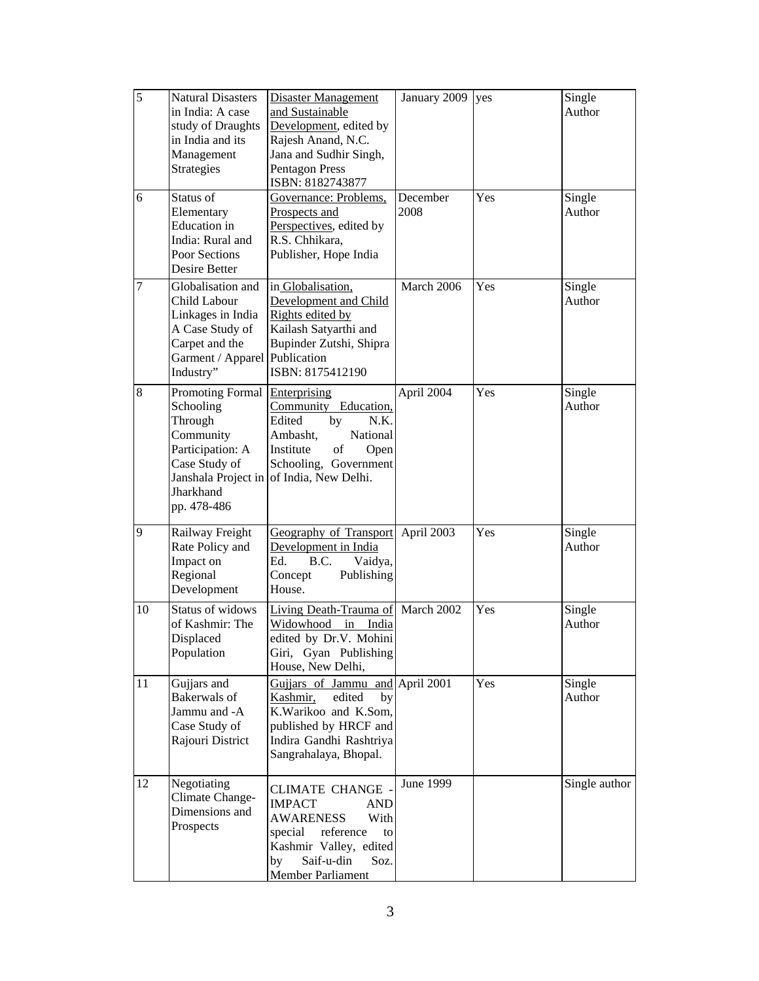| 5  | <b>Natural Disasters</b><br>in India: A case<br>study of Draughts<br>in India and its<br>Management<br>Strategies                         | <b>Disaster Management</b><br>and Sustainable<br>Development, edited by<br>Rajesh Anand, N.C.<br>Jana and Sudhir Singh,<br><b>Pentagon Press</b><br>ISBN: 8182743877                        | January 2009     | yes | Single<br>Author |
|----|-------------------------------------------------------------------------------------------------------------------------------------------|---------------------------------------------------------------------------------------------------------------------------------------------------------------------------------------------|------------------|-----|------------------|
| 6  | Status of<br>Elementary<br><b>Education</b> in<br>India: Rural and<br>Poor Sections<br>Desire Better                                      | Governance: Problems,<br>Prospects and<br>Perspectives, edited by<br>R.S. Chhikara,<br>Publisher, Hope India                                                                                | December<br>2008 | Yes | Single<br>Author |
| 7  | Globalisation and<br>Child Labour<br>Linkages in India<br>A Case Study of<br>Carpet and the<br>Garment / Apparel Publication<br>Industry" | in Globalisation,<br>Development and Child<br>Rights edited by<br>Kailash Satyarthi and<br>Bupinder Zutshi, Shipra<br>ISBN: 8175412190                                                      | March 2006       | Yes | Single<br>Author |
| 8  | Promoting Formal<br>Schooling<br>Through<br>Community<br>Participation: A<br>Case Study of<br>Jharkhand<br>pp. 478-486                    | Enterprising<br>Community Education,<br>Edited<br>by<br>N.K.<br>National<br>Ambasht,<br>Institute<br>of<br>Open<br>Schooling, Government<br>Janshala Project in of India, New Delhi.        | April 2004       | Yes | Single<br>Author |
| 9  | Railway Freight<br>Rate Policy and<br>Impact on<br>Regional<br>Development                                                                | <b>Geography of Transport</b><br>Development in India<br>Ed.<br>B.C.<br>Vaidya,<br>Concept<br>Publishing<br>House.                                                                          | April 2003       | Yes | Single<br>Author |
| 10 | Status of widows<br>of Kashmir: The<br>Displaced<br>Population                                                                            | Living Death-Trauma of March 2002<br>Widowhood<br>in<br>India<br>edited by Dr.V. Mohini<br>Giri, Gyan Publishing<br>House, New Delhi,                                                       |                  | Yes | Single<br>Author |
| 11 | Gujjars and<br><b>Bakerwals</b> of<br>Jammu and -A<br>Case Study of<br>Rajouri District                                                   | Gujjars of Jammu and April 2001<br>Kashmir,<br>edited<br>by<br>K.Warikoo and K.Som,<br>published by HRCF and<br>Indira Gandhi Rashtriya<br>Sangrahalaya, Bhopal.                            |                  | Yes | Single<br>Author |
| 12 | Negotiating<br>Climate Change-<br>Dimensions and<br>Prospects                                                                             | <b>CLIMATE CHANGE -</b><br><b>IMPACT</b><br><b>AND</b><br><b>AWARENESS</b><br>With<br>special<br>reference<br>to<br>Kashmir Valley, edited<br>Saif-u-din<br>by<br>Soz.<br>Member Parliament | June 1999        |     | Single author    |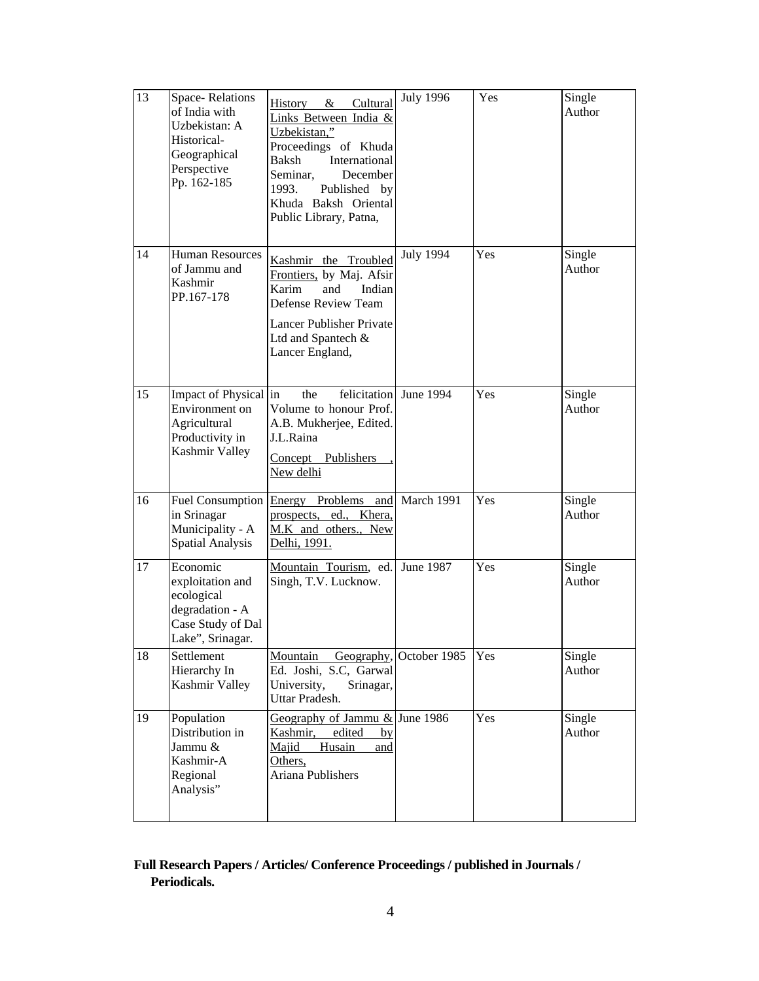| 13 | Space-Relations<br>of India with<br>Uzbekistan: A<br>Historical-<br>Geographical<br>Perspective<br>Pp. 162-185 | Cultural<br>History $\&$<br>Links Between India &<br>Uzbekistan,"<br>Proceedings of Khuda<br>Baksh<br>International<br>Seminar,<br>December<br>1993.<br>Published by<br>Khuda Baksh Oriental<br>Public Library, Patna, | <b>July 1996</b>        | Yes | Single<br>Author |
|----|----------------------------------------------------------------------------------------------------------------|------------------------------------------------------------------------------------------------------------------------------------------------------------------------------------------------------------------------|-------------------------|-----|------------------|
| 14 | <b>Human Resources</b><br>of Jammu and<br>Kashmir<br>PP.167-178                                                | Kashmir the Troubled<br>Frontiers, by Maj. Afsir<br>Karim<br>and<br>Indian<br><b>Defense Review Team</b><br><b>Lancer Publisher Private</b><br>Ltd and Spantech &<br>Lancer England,                                   | <b>July 1994</b>        | Yes | Single<br>Author |
| 15 | Impact of Physical in<br>Environment on<br>Agricultural<br>Productivity in<br>Kashmir Valley                   | the<br>felicitation<br>Volume to honour Prof.<br>A.B. Mukherjee, Edited.<br>J.L.Raina<br>Concept Publishers<br>New delhi                                                                                               | June 1994               | Yes | Single<br>Author |
| 16 | Fuel Consumption<br>in Srinagar<br>Municipality - A<br><b>Spatial Analysis</b>                                 | Energy Problems and<br>prospects, ed., Khera,<br>M.K and others., New<br>Delhi, 1991.                                                                                                                                  | March 1991              | Yes | Single<br>Author |
| 17 | Economic<br>exploitation and<br>ecological<br>degradation - A<br>Case Study of Dal<br>Lake", Srinagar.         | Mountain Tourism, ed.<br>Singh, T.V. Lucknow.                                                                                                                                                                          | June 1987               | Yes | Single<br>Author |
| 18 | Settlement<br>Hierarchy In<br>Kashmir Valley                                                                   | Mountain<br>Ed. Joshi, S.C, Garwal<br>University,<br>Srinagar,<br>Uttar Pradesh.                                                                                                                                       | Geography, October 1985 | Yes | Single<br>Author |
| 19 | Population<br>Distribution in<br>Jammu &<br>Kashmir-A<br>Regional<br>Analysis"                                 | Geography of Jammu $&$ June 1986<br>Kashmir,<br>edited<br>by<br>Majid<br>Husain<br>and<br>Others,<br>Ariana Publishers                                                                                                 |                         | Yes | Single<br>Author |

#### **Full Research Papers / Articles/ Conference Proceedings / published in Journals / Periodicals.**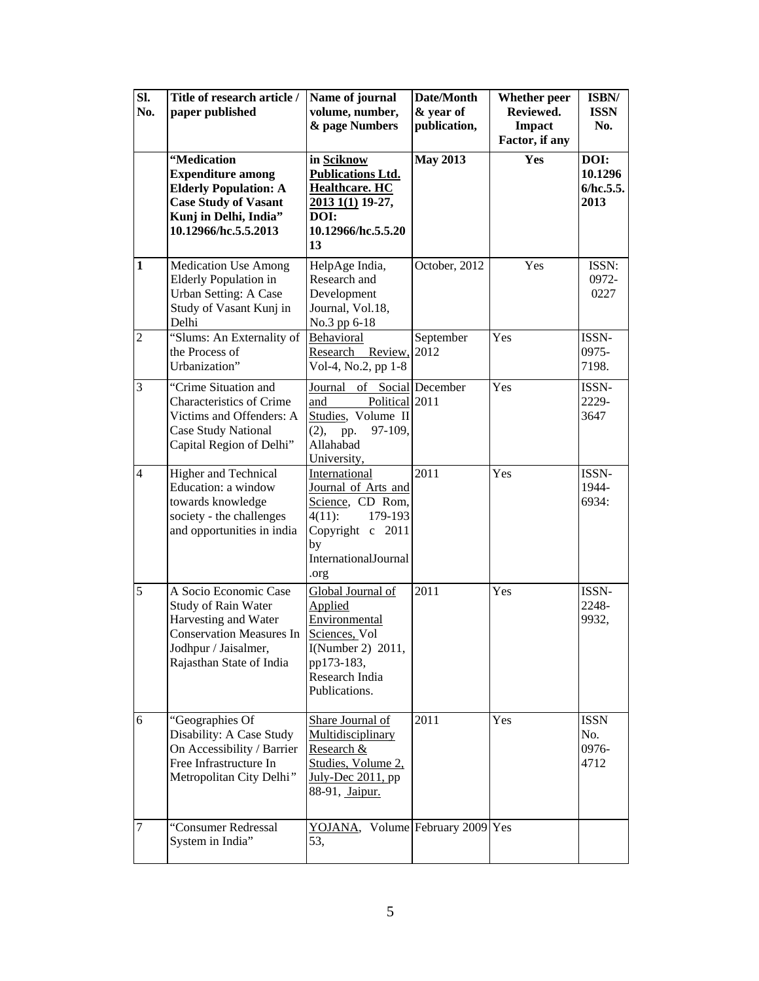| SI.<br>No.     | Title of research article /<br>paper published                                                                                                              | Name of journal<br>volume, number,<br>& page Numbers                                                                                       | Date/Month<br>& year of<br>publication, | Whether peer<br>Reviewed.<br>Impact<br>Factor, if any | ISBN/<br><b>ISSN</b><br>No.          |
|----------------|-------------------------------------------------------------------------------------------------------------------------------------------------------------|--------------------------------------------------------------------------------------------------------------------------------------------|-----------------------------------------|-------------------------------------------------------|--------------------------------------|
|                | "Medication<br><b>Expenditure among</b><br><b>Elderly Population: A</b><br><b>Case Study of Vasant</b><br>Kunj in Delhi, India"<br>10.12966/hc.5.5.2013     | in Sciknow<br><b>Publications Ltd.</b><br><b>Healthcare. HC</b><br>2013 1(1) 19-27,<br>DOI:<br>10.12966/hc.5.5.20<br>13                    | <b>May 2013</b>                         | Yes                                                   | DOI:<br>10.1296<br>6/hc.5.5.<br>2013 |
| $\mathbf{1}$   | <b>Medication Use Among</b><br>Elderly Population in<br><b>Urban Setting: A Case</b><br>Study of Vasant Kunj in<br>Delhi                                    | HelpAge India,<br>Research and<br>Development<br>Journal, Vol.18,<br>No.3 pp 6-18                                                          | October, 2012                           | Yes                                                   | ISSN:<br>0972-<br>0227               |
| $\overline{2}$ | "Slums: An Externality of<br>the Process of<br>Urbanization"                                                                                                | Behavioral<br>Research Review,<br>Vol-4, No.2, pp 1-8                                                                                      | September<br>2012                       | Yes                                                   | ISSN-<br>0975-<br>7198.              |
| 3              | "Crime Situation and<br>Characteristics of Crime<br>Victims and Offenders: A<br><b>Case Study National</b><br>Capital Region of Delhi"                      | Journal<br>Political 2011<br>and<br>Studies, Volume II<br>(2),<br>97-109,<br>pp.<br>Allahabad<br>University,                               | of Social December                      | Yes                                                   | ISSN-<br>2229-<br>3647               |
| $\overline{4}$ | Higher and Technical<br>Education: a window<br>towards knowledge<br>society - the challenges<br>and opportunities in india                                  | International<br>Journal of Arts and<br>Science, CD Rom,<br>179-193<br>$4(11)$ :<br>Copyright c 2011<br>by<br>InternationalJournal<br>.org | 2011                                    | Yes                                                   | ISSN-<br>1944-<br>6934:              |
| 5              | A Socio Economic Case<br>Study of Rain Water<br>Harvesting and Water<br><b>Conservation Measures In</b><br>Jodhpur / Jaisalmer,<br>Rajasthan State of India | Global Journal of<br>Applied<br>Environmental<br>Sciences, Vol<br>I(Number 2) $2011$ ,<br>pp173-183,<br>Research India<br>Publications.    | 2011                                    | Yes                                                   | ISSN-<br>2248-<br>9932,              |
| 6              | "Geographies Of<br>Disability: A Case Study<br>On Accessibility / Barrier<br>Free Infrastructure In<br>Metropolitan City Delhi"                             | Share Journal of<br>Multidisciplinary<br>Research &<br>Studies, Volume 2,<br>July-Dec 2011, pp<br>88-91, Jaipur.                           | 2011                                    | Yes                                                   | <b>ISSN</b><br>No.<br>0976-<br>4712  |
| 7              | "Consumer Redressal<br>System in India"                                                                                                                     | YOJANA, Volume February 2009 Yes<br>53.                                                                                                    |                                         |                                                       |                                      |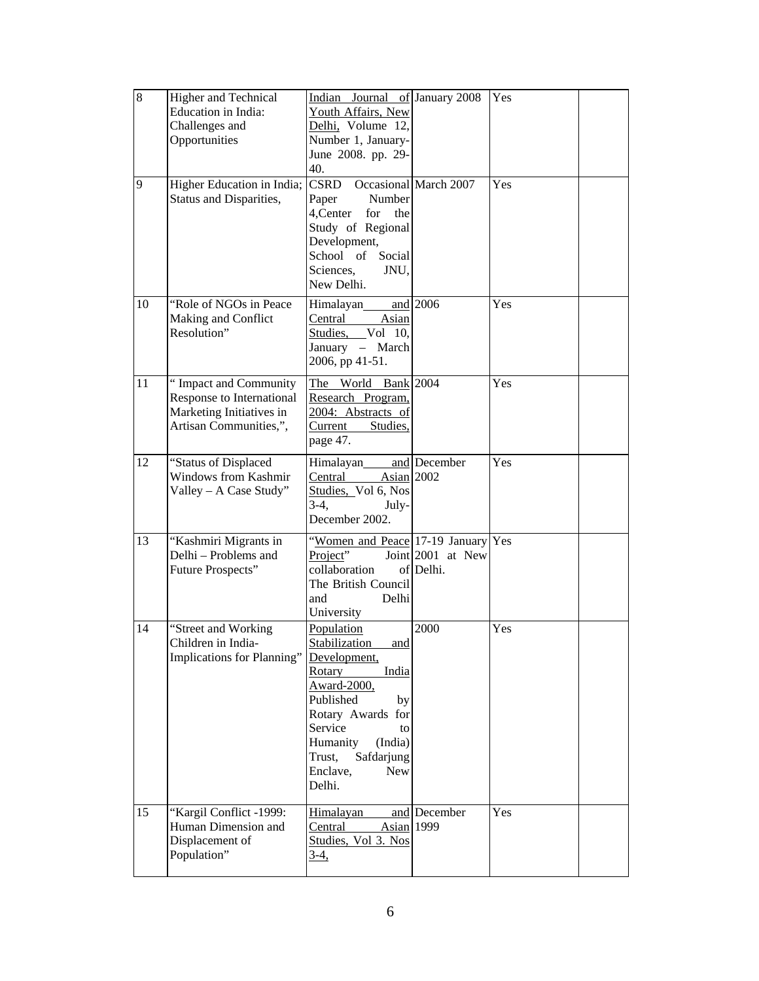| 8  | Higher and Technical<br><b>Education</b> in India:<br>Challenges and<br>Opportunities                    | Indian Journal of January 2008<br>Youth Affairs, New<br>Delhi, Volume 12,<br>Number 1, January-<br>June 2008. pp. 29-<br>40.                                                                                                            |                                | Yes |  |
|----|----------------------------------------------------------------------------------------------------------|-----------------------------------------------------------------------------------------------------------------------------------------------------------------------------------------------------------------------------------------|--------------------------------|-----|--|
| 9  | Higher Education in India;<br>Status and Disparities,                                                    | CSRD<br>Number<br>Paper<br>4, Center<br>for<br>the<br>Study of Regional<br>Development,<br>School of<br>Social<br>Sciences,<br>JNU,<br>New Delhi.                                                                                       | Occasional March 2007          | Yes |  |
| 10 | "Role of NGOs in Peace<br>Making and Conflict<br>Resolution"                                             | Himalayan<br>Asian<br>Central<br>Studies, Vol 10,<br>January - March<br>2006, pp 41-51.                                                                                                                                                 | and 2006                       | Yes |  |
| 11 | "Impact and Community<br>Response to International<br>Marketing Initiatives in<br>Artisan Communities,", | The World Bank 2004<br>Research Program,<br>2004: Abstracts of<br>Current Studies,<br>page 47.                                                                                                                                          |                                | Yes |  |
| 12 | "Status of Displaced<br><b>Windows from Kashmir</b><br>Valley - A Case Study"                            | Himalayan<br>Central<br>Asian 2002<br>Studies, Vol 6, Nos<br>$3-4,$<br>July-<br>December 2002.                                                                                                                                          | and December                   | Yes |  |
| 13 | "Kashmiri Migrants in<br>Delhi - Problems and<br>Future Prospects"                                       | "Women and Peace 17-19 January Yes<br>Project"<br>collaboration<br>The British Council<br>and<br>Delhi<br>University                                                                                                                    | Joint 2001 at New<br>of Delhi. |     |  |
| 14 | "Street and Working<br>Children in India-<br>Implications for Planning"                                  | Population<br>and<br>Stabilization<br>Development,<br><b>Rotary</b><br>India<br>Award-2000,<br>Published<br>by<br>Rotary Awards for<br>Service<br>to<br>Humanity<br>(India)<br>Safdarjung<br>Trust,<br>Enclave,<br><b>New</b><br>Delhi. | 2000                           | Yes |  |
| 15 | "Kargil Conflict -1999:<br>Human Dimension and<br>Displacement of<br>Population"                         | Himalayan<br>Central<br>Asian 1999<br>Studies, Vol 3. Nos<br>3-4,                                                                                                                                                                       | and December                   | Yes |  |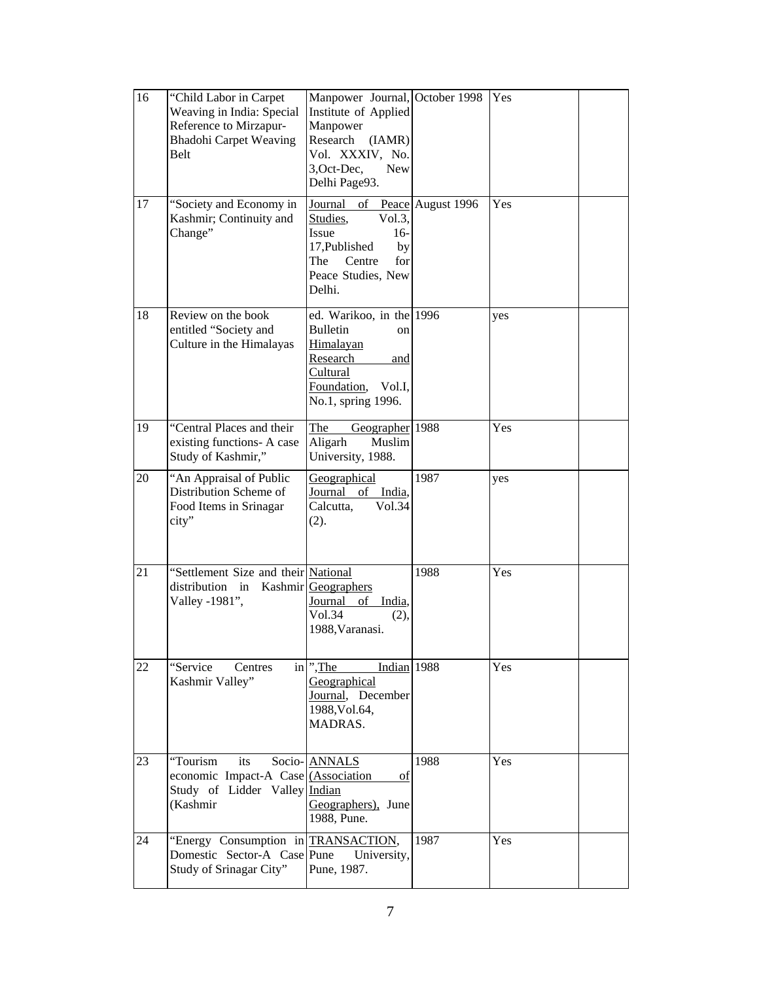| 16 | "Child Labor in Carpet<br>Weaving in India: Special<br>Reference to Mirzapur-<br><b>Bhadohi Carpet Weaving</b><br>Belt | Manpower Journal, October 1998<br>Institute of Applied<br>Manpower<br>Research<br>(IAMR)<br>Vol. XXXIV, No.<br>3, Oct-Dec,<br><b>New</b><br>Delhi Page93. |      | Yes |  |
|----|------------------------------------------------------------------------------------------------------------------------|-----------------------------------------------------------------------------------------------------------------------------------------------------------|------|-----|--|
| 17 | "Society and Economy in<br>Kashmir; Continuity and<br>Change"                                                          | Journal of Peace August 1996<br>Studies,<br>Vol.3,<br>$16-$<br>Issue<br>17, Published<br>by<br>The<br>Centre<br>for<br>Peace Studies, New<br>Delhi.       |      | Yes |  |
| 18 | Review on the book<br>entitled "Society and<br>Culture in the Himalayas                                                | ed. Warikoo, in the 1996<br><b>Bulletin</b><br>on<br>Himalayan<br>Research<br>and<br><b>Cultural</b><br>Foundation,<br>Vol.I,<br>No.1, spring 1996.       |      | yes |  |
| 19 | "Central Places and their<br>existing functions- A case<br>Study of Kashmir,"                                          | The<br>Geographer 1988<br>Aligarh<br>Muslim<br>University, 1988.                                                                                          |      | Yes |  |
| 20 | "An Appraisal of Public<br>Distribution Scheme of<br>Food Items in Srinagar<br>city"                                   | <b>Geographical</b><br>Journal<br>of<br>India,<br>Calcutta,<br>Vol.34<br>(2).                                                                             | 1987 | yes |  |
| 21 | "Settlement Size and their National<br>distribution in Kashmir Geographers<br>Valley -1981",                           | Journal<br>of<br>India,<br>Vol.34<br>(2),<br>1988, Varanasi.                                                                                              | 1988 | Yes |  |
| 22 | "Service<br>Centres<br>Kashmir Valley"                                                                                 | in ", The<br>Indian 1988<br>Geographical<br>Journal, December<br>1988, Vol.64,<br>MADRAS.                                                                 |      | Yes |  |
| 23 | "Tourism<br>its<br>economic Impact-A Case (Association<br>Study of Lidder Valley Indian<br>(Kashmir                    | Socio- ANNALS<br>of<br>Geographers), June<br>1988, Pune.                                                                                                  | 1988 | Yes |  |
| 24 | "Energy Consumption in TRANSACTION,<br>Domestic Sector-A Case Pune<br>Study of Srinagar City"                          | University,<br>Pune, 1987.                                                                                                                                | 1987 | Yes |  |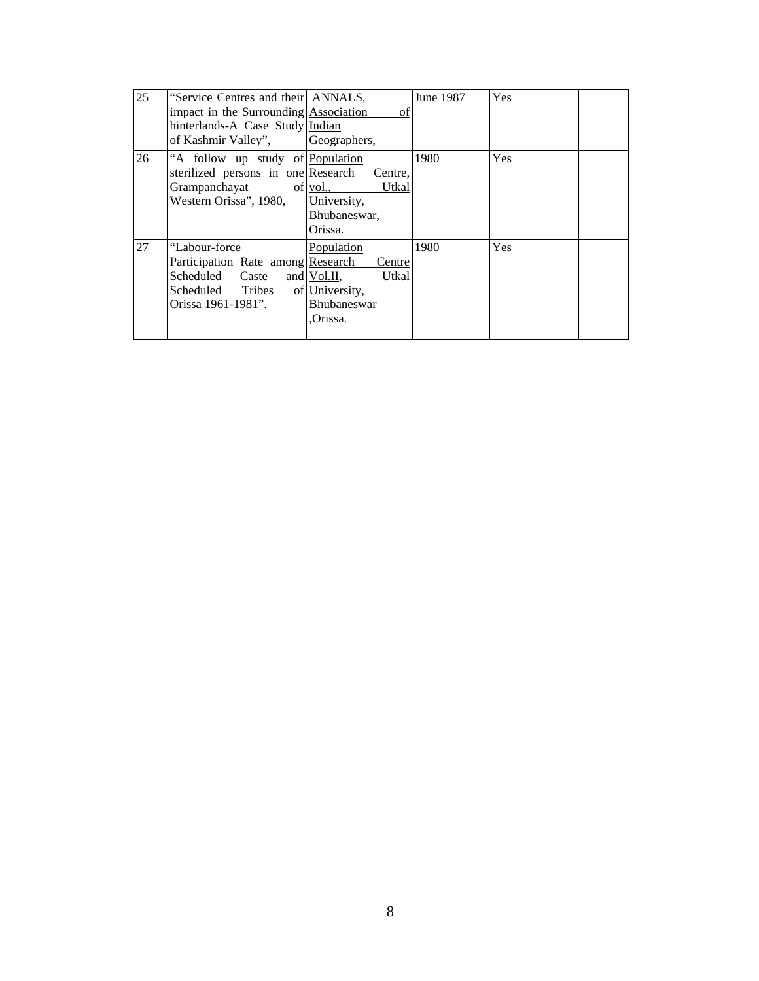| 25 | "Service Centres and their ANNALS,<br>impact in the Surrounding Association<br>hinterlands-A Case Study Indian<br>of Kashmir Valley", | of<br>Geographers,                                                                              | June 1987 | Yes |  |
|----|---------------------------------------------------------------------------------------------------------------------------------------|-------------------------------------------------------------------------------------------------|-----------|-----|--|
| 26 | "A follow up study of Population"<br>sterilized persons in one Research<br>Grampanchayat<br>of $vol.$<br>Western Orissa", 1980,       | Centre.<br>Utkal<br>University,<br>Bhubaneswar,<br>Orissa.                                      | 1980      | Yes |  |
| 27 | "Labour-force"<br>Participation Rate among Research<br>Scheduled Caste<br>Scheduled Tribes<br>Orissa 1961-1981".                      | Population<br>Centre<br>and Vol.II,<br>Utkal<br>of University,<br><b>Bhubaneswar</b><br>Orissa. | 1980      | Yes |  |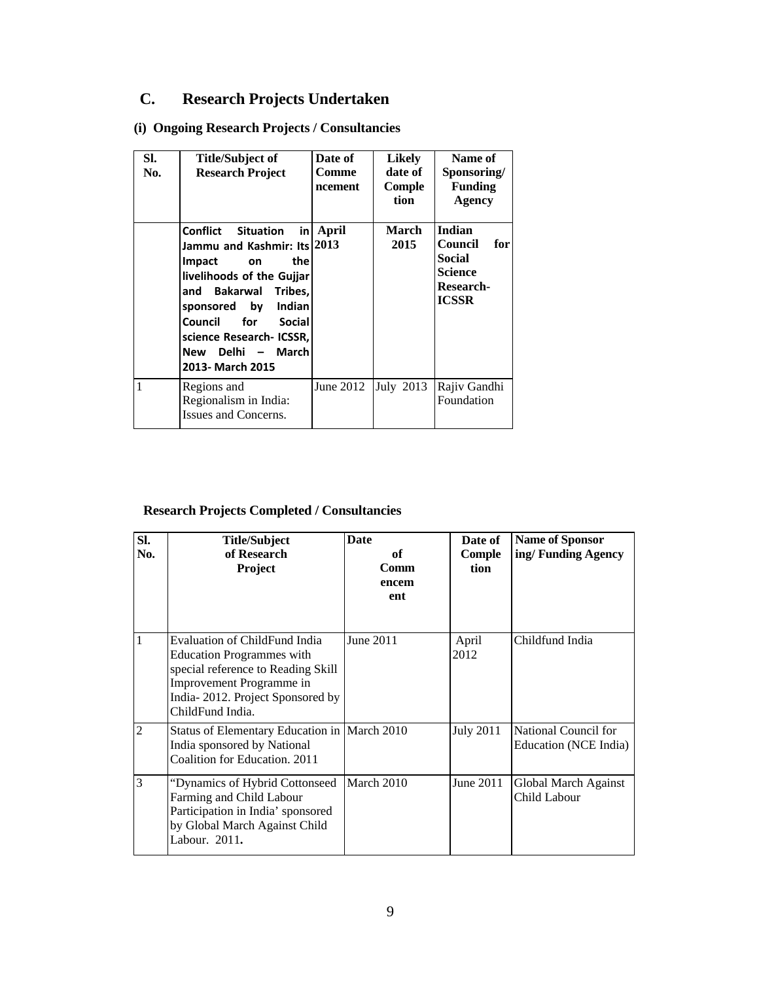# **C. Research Projects Undertaken**

### **(i) Ongoing Research Projects / Consultancies**

| SI.<br>No. | <b>Title/Subject of</b><br><b>Research Project</b>                                                                                                                                                                                                                                                 | Date of<br>Comme<br>ncement | Likely<br>date of<br>Comple<br>tion | Name of<br>Sponsoring/<br><b>Funding</b><br><b>Agency</b>                                |
|------------|----------------------------------------------------------------------------------------------------------------------------------------------------------------------------------------------------------------------------------------------------------------------------------------------------|-----------------------------|-------------------------------------|------------------------------------------------------------------------------------------|
|            | Confiict<br><b>Situation</b><br>inl<br>Jammu and Kashmir: Its 2013<br>thel<br><b>Impact</b><br>on<br>livelihoods of the Gujjar<br>and Bakarwal<br>Tribes,<br>sponsored by<br><b>Indian</b><br>Council<br>for<br><b>Social</b><br>science Research- ICSSR,<br>New Delhi - March<br>2013- March 2015 | April                       | <b>March</b><br>2015                | Indian<br>Council<br>for<br>Social<br><b>Science</b><br><b>Research-</b><br><b>ICSSR</b> |
| 1          | Regions and<br>Regionalism in India:<br>Issues and Concerns.                                                                                                                                                                                                                                       | June 2012                   | July 2013                           | Rajiv Gandhi<br>Foundation                                                               |

#### **Research Projects Completed / Consultancies**

| SI.<br>No.     | <b>Title/Subject</b><br>of Research<br><b>Project</b>                                                                                                                                       | <b>Date</b><br>of<br>Comm<br>encem<br>ent | Date of<br>Comple<br>tion | <b>Name of Sponsor</b><br>ing/Funding Agency  |
|----------------|---------------------------------------------------------------------------------------------------------------------------------------------------------------------------------------------|-------------------------------------------|---------------------------|-----------------------------------------------|
| 1              | Evaluation of ChildFund India<br><b>Education Programmes with</b><br>special reference to Reading Skill<br>Improvement Programme in<br>India-2012. Project Sponsored by<br>ChildFund India. | June 2011                                 | April<br>2012             | Childfund India                               |
| $\overline{2}$ | Status of Elementary Education in   March 2010<br>India sponsored by National<br>Coalition for Education, 2011                                                                              |                                           | <b>July 2011</b>          | National Council for<br>Education (NCE India) |
| 3              | "Dynamics of Hybrid Cottonseed<br>Farming and Child Labour<br>Participation in India' sponsored<br>by Global March Against Child<br>Labour. 2011.                                           | March 2010                                | June 2011                 | Global March Against<br>Child Labour          |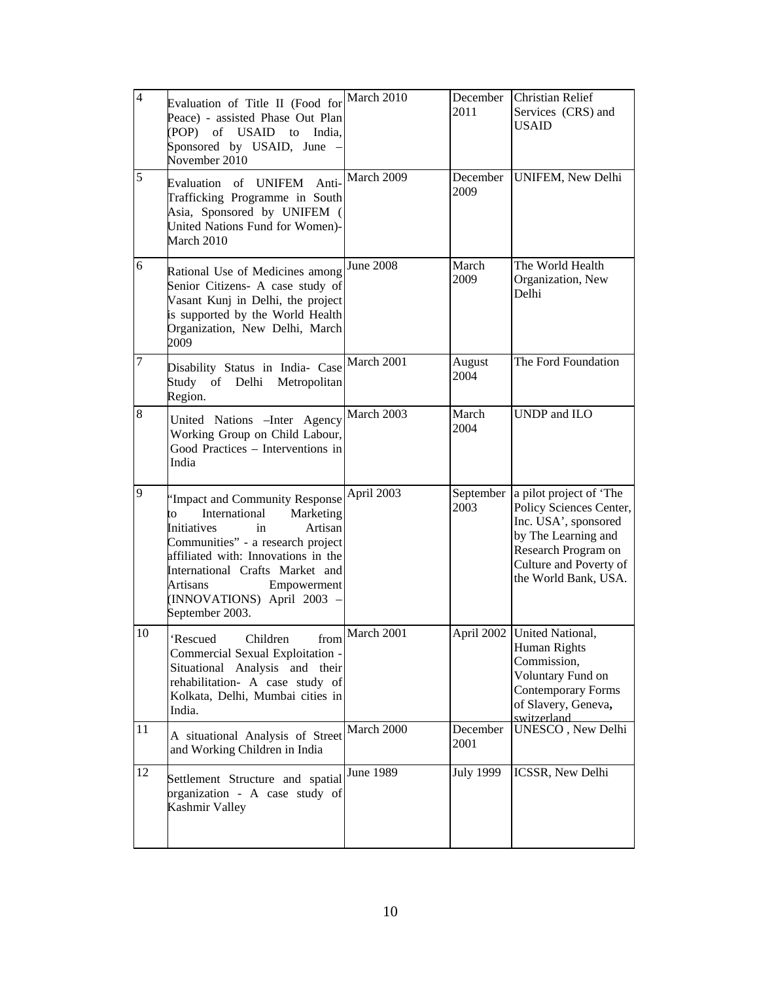| $\overline{4}$ | Evaluation of Title II (Food for $\vert$ March 2010<br>Peace) - assisted Phase Out Plan<br>(POP) of USAID to India,<br>Sponsored by USAID, June -<br>November 2010                                                                                                                                   |                  | December<br>2011  | Christian Relief<br>Services (CRS) and<br><b>USAID</b>                                                                                                                     |
|----------------|------------------------------------------------------------------------------------------------------------------------------------------------------------------------------------------------------------------------------------------------------------------------------------------------------|------------------|-------------------|----------------------------------------------------------------------------------------------------------------------------------------------------------------------------|
| 5              | Evaluation of UNIFEM Anti-<br>Trafficking Programme in South<br>Asia, Sponsored by UNIFEM (<br>United Nations Fund for Women)-<br>March 2010                                                                                                                                                         | March 2009       | December<br>2009  | UNIFEM, New Delhi                                                                                                                                                          |
| 6              | Rational Use of Medicines among<br>Senior Citizens- A case study of<br>Vasant Kunj in Delhi, the project<br>is supported by the World Health<br>Organization, New Delhi, March<br>2009                                                                                                               | <b>June 2008</b> | March<br>2009     | The World Health<br>Organization, New<br>Delhi                                                                                                                             |
| 7              | Disability Status in India- Case $\vert$ March 2001<br>Study of Delhi Metropolitan<br>Region.                                                                                                                                                                                                        |                  | August<br>2004    | The Ford Foundation                                                                                                                                                        |
| 8              | United Nations - Inter Agency<br>Working Group on Child Labour,<br>Good Practices - Interventions in<br>India                                                                                                                                                                                        | March 2003       | March<br>2004     | UNDP and ILO                                                                                                                                                               |
| 9              | 'Impact and Community Response<br>International<br>Marketing<br>to<br>Initiatives<br>Artisan<br>in<br>Communities" - a research project<br>affiliated with: Innovations in the<br>International Crafts Market and<br><b>Artisans</b><br>Empowerment<br>(INNOVATIONS) April 2003 -<br>September 2003. | April 2003       | September<br>2003 | a pilot project of 'The<br>Policy Sciences Center,<br>Inc. USA', sponsored<br>by The Learning and<br>Research Program on<br>Culture and Poverty of<br>the World Bank, USA. |
| 10             | 'Rescued<br>Children<br>Commercial Sexual Exploitation -<br>Situational Analysis and their<br>rehabilitation- A case study of<br>Kolkata, Delhi, Mumbai cities in<br>India.                                                                                                                          | from March 2001  |                   | April 2002   United National,<br>Human Rights<br>Commission,<br>Voluntary Fund on<br>Contemporary Forms<br>of Slavery, Geneva,<br>switzerland                              |
| 11             | A situational Analysis of Street<br>and Working Children in India                                                                                                                                                                                                                                    | March 2000       | December<br>2001  | UNESCO, New Delhi                                                                                                                                                          |
| 12             | Settlement Structure and spatial<br>organization - A case study of<br>Kashmir Valley                                                                                                                                                                                                                 | <b>June 1989</b> | <b>July 1999</b>  | ICSSR, New Delhi                                                                                                                                                           |